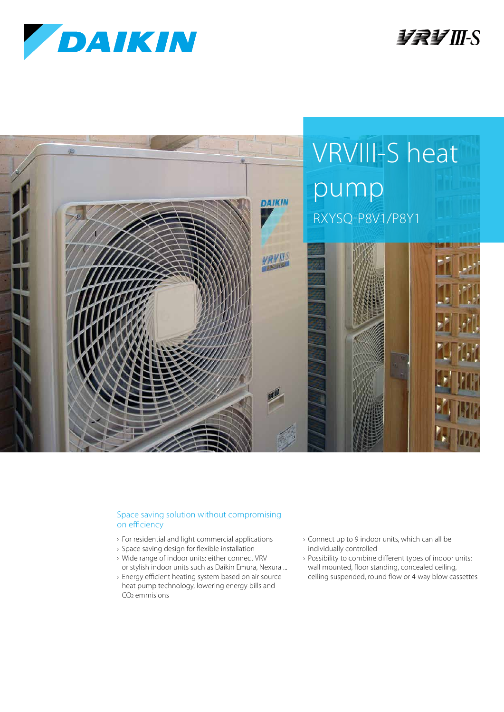

**TRIM**S



## Space saving solution without compromising on efficiency

- › For residential and light commercial applications
- › Space saving design for flexible installation
- › Wide range of indoor units: either connect VRV or stylish indoor units such as Daikin Emura, Nexura ...
- › Energy efficient heating system based on air source heat pump technology, lowering energy bills and CO2 emmisions
- › Connect up to 9 indoor units, which can all be individually controlled
- › Possibility to combine different types of indoor units: wall mounted, floor standing, concealed ceiling, ceiling suspended, round flow or 4-way blow cassettes